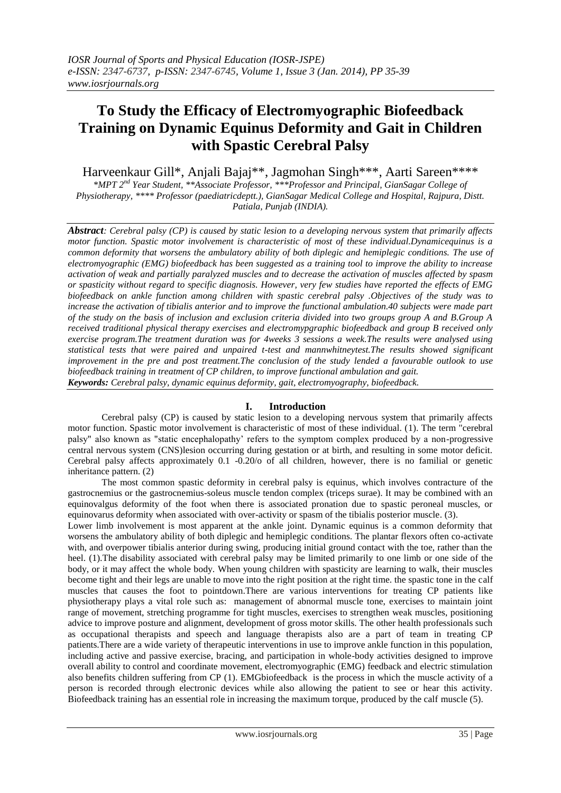# **To Study the Efficacy of Electromyographic Biofeedback Training on Dynamic Equinus Deformity and Gait in Children with Spastic Cerebral Palsy**

Harveenkaur Gill\*, Anjali Bajaj\*\*, Jagmohan Singh\*\*\*, Aarti Sareen\*\*\*\*

*\*MPT 2nd Year Student, \*\*Associate Professor, \*\*\*Professor and Principal, GianSagar College of Physiotherapy, \*\*\*\* Professor (paediatricdeptt.), GianSagar Medical College and Hospital, Rajpura, Distt. Patiala, Punjab (INDIA).*

*Abstract: Cerebral palsy (CP) is caused by static lesion to a developing nervous system that primarily affects motor function. Spastic motor involvement is characteristic of most of these individual.Dynamicequinus is a common deformity that worsens the ambulatory ability of both diplegic and hemiplegic conditions. The use of electromyographic (EMG) biofeedback has been suggested as a training tool to improve the ability to increase activation of weak and partially paralyzed muscles and to decrease the activation of muscles affected by spasm or spasticity without regard to specific diagnosis. However, very few studies have reported the effects of EMG biofeedback on ankle function among children with spastic cerebral palsy .Objectives of the study was to increase the activation of tibialis anterior and to improve the functional ambulation.40 subjects were made part of the study on the basis of inclusion and exclusion criteria divided into two groups group A and B.Group A received traditional physical therapy exercises and electromypgraphic biofeedback and group B received only exercise program.The treatment duration was for 4weeks 3 sessions a week.The results were analysed using statistical tests that were paired and unpaired t-test and mannwhitneytest.The results showed significant improvement in the pre and post treatment.The conclusion of the study lended a favourable outlook to use biofeedback training in treatment of CP children, to improve functional ambulation and gait. Keywords: Cerebral palsy, dynamic equinus deformity, gait, electromyography, biofeedback.*

# **I. Introduction**

Cerebral palsy (CP) is caused by static lesion to a developing nervous system that primarily affects motor function. Spastic motor involvement is characteristic of most of these individual. (1). The term "cerebral palsy" also known as "static encephalopathy' refers to the symptom complex produced by a non-progressive central nervous system (CNS)lesion occurring during gestation or at birth, and resulting in some motor deficit. Cerebral palsy affects approximately 0.1 -0.20/o of all children, however, there is no familial or genetic inheritance pattern. (2)

The most common spastic deformity in cerebral palsy is equinus, which involves contracture of the gastrocnemius or the gastrocnemius-soleus muscle tendon complex (triceps surae). It may be combined with an equinovalgus deformity of the foot when there is associated pronation due to spastic peroneal muscles, or equinovarus deformity when associated with over-activity or spasm of the tibialis posterior muscle. (3).

Lower limb involvement is most apparent at the ankle joint. Dynamic equinus is a common deformity that worsens the ambulatory ability of both diplegic and hemiplegic conditions. The plantar flexors often co-activate with, and overpower tibialis anterior during swing, producing initial ground contact with the toe, rather than the heel. (1).The disability associated with cerebral palsy may be limited primarily to one limb or one side of the body, or it may affect the whole body. When young children with spasticity are learning to walk, their muscles become tight and their legs are unable to move into the right position at the right time. the spastic tone in the calf muscles that causes the foot to pointdown.There are various interventions for treating CP patients like physiotherapy plays a vital role such as: management of abnormal muscle tone, exercises to maintain joint range of movement, stretching programme for tight muscles, exercises to strengthen weak muscles, positioning advice to improve posture and alignment, development of gross motor skills. The other health professionals such as occupational therapists and speech and language therapists also are a part of team in treating CP patients.There are a wide variety of therapeutic interventions in use to improve ankle function in this population, including active and passive exercise, bracing, and participation in whole-body activities designed to improve overall ability to control and coordinate movement, electromyographic (EMG) feedback and electric stimulation also benefits children suffering from CP (1). EM[Gbiofeedback](http://www.wisegeek.com/what-is-biofeedback.htm) is the process in which the muscle activity of a person is recorded through electronic devices while also allowing the patient to see or hear this activity. Biofeedback training has an essential role in increasing the maximum torque, produced by the calf muscle (5).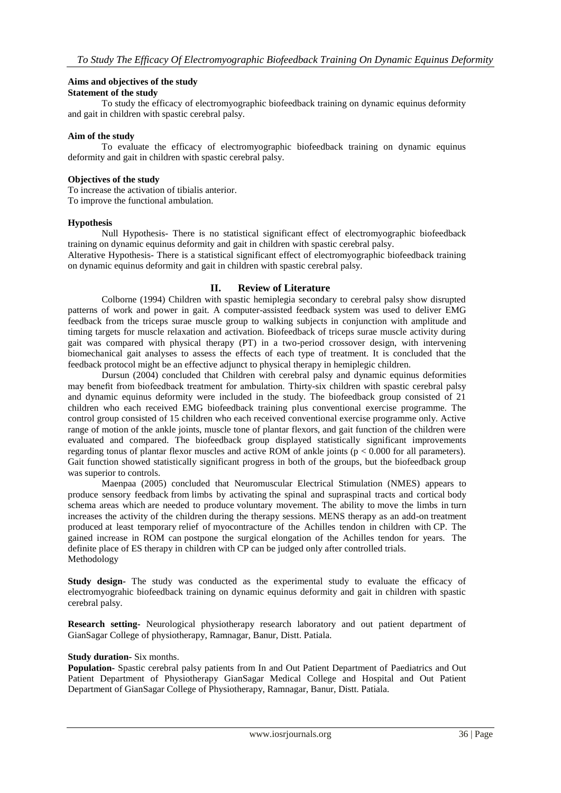# **Aims and objectives of the study**

# **Statement of the study**

To study the efficacy of electromyographic biofeedback training on dynamic equinus deformity and gait in children with spastic cerebral palsy.

### **Aim of the study**

To evaluate the efficacy of electromyographic biofeedback training on dynamic equinus deformity and gait in children with spastic cerebral palsy.

### **Objectives of the study**

To increase the activation of tibialis anterior. To improve the functional ambulation.

# **Hypothesis**

Null Hypothesis- There is no statistical significant effect of electromyographic biofeedback training on dynamic equinus deformity and gait in children with spastic cerebral palsy.

Alterative Hypothesis- There is a statistical significant effect of electromyographic biofeedback training on dynamic equinus deformity and gait in children with spastic cerebral palsy.

# **II. Review of Literature**

Colborne (1994) Children with spastic hemiplegia secondary to cerebral palsy show disrupted patterns of work and power in gait. A computer-assisted feedback system was used to deliver EMG feedback from the triceps surae muscle group to walking subjects in conjunction with amplitude and timing targets for muscle relaxation and activation. Biofeedback of triceps surae muscle activity during gait was compared with physical therapy (PT) in a two-period crossover design, with intervening biomechanical gait analyses to assess the effects of each type of treatment. It is concluded that the feedback protocol might be an effective adjunct to physical therapy in hemiplegic children.

Dursun (2004) concluded that Children with cerebral palsy and dynamic equinus deformities may benefit from biofeedback treatment for ambulation. Thirty-six children with spastic cerebral palsy and dynamic equinus deformity were included in the study. The biofeedback group consisted of 21 children who each received EMG biofeedback training plus conventional exercise programme. The control group consisted of 15 children who each received conventional exercise programme only. Active range of motion of the ankle joints, muscle tone of plantar flexors, and gait function of the children were evaluated and compared. The biofeedback group displayed statistically significant improvements regarding tonus of plantar flexor muscles and active ROM of ankle joints (p < 0.000 for all parameters). Gait function showed statistically significant progress in both of the groups, but the biofeedback group was superior to controls.

Maenpaa (2005) concluded that Neuromuscular Electrical Stimulation (NMES) appears to produce sensory feedback from limbs by activating the spinal and supraspinal tracts and cortical body schema areas which are needed to produce voluntary movement. The ability to move the limbs in turn increases the activity of the children during the therapy sessions. MENS therapy as an add-on treatment produced at least temporary relief of myocontracture of the Achilles tendon in children with CP. The gained increase in ROM can postpone the surgical elongation of the Achilles tendon for years. The definite place of ES therapy in children with CP can be judged only after controlled trials. Methodology

**Study design-** The study was conducted as the experimental study to evaluate the efficacy of electromyograhic biofeedback training on dynamic equinus deformity and gait in children with spastic cerebral palsy.

**Research setting-** Neurological physiotherapy research laboratory and out patient department of GianSagar College of physiotherapy, Ramnagar, Banur, Distt. Patiala.

#### **Study duration-** Six months.

**Population-** Spastic cerebral palsy patients from In and Out Patient Department of Paediatrics and Out Patient Department of Physiotherapy GianSagar Medical College and Hospital and Out Patient Department of GianSagar College of Physiotherapy, Ramnagar, Banur, Distt. Patiala.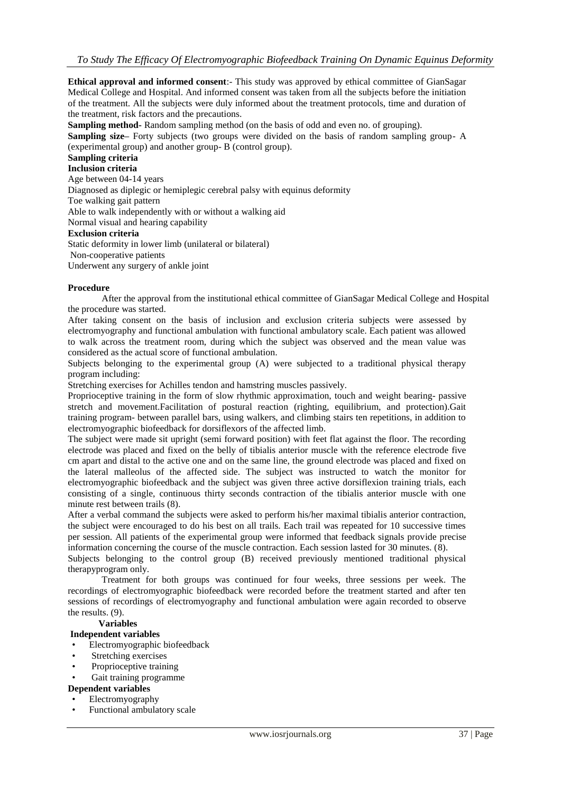**Ethical approval and informed consent**:- This study was approved by ethical committee of GianSagar Medical College and Hospital. And informed consent was taken from all the subjects before the initiation of the treatment. All the subjects were duly informed about the treatment protocols, time and duration of the treatment, risk factors and the precautions.

**Sampling method-** Random sampling method (on the basis of odd and even no. of grouping).

**Sampling size–** Forty subjects (two groups were divided on the basis of random sampling group- A (experimental group) and another group- B (control group).

# **Sampling criteria**

# **Inclusion criteria**

Age between 04-14 years

Diagnosed as diplegic or hemiplegic cerebral palsy with equinus deformity

Toe walking gait pattern

Able to walk independently with or without a walking aid

Normal visual and hearing capability

#### **Exclusion criteria**

Static deformity in lower limb (unilateral or bilateral)

Non-cooperative patients

Underwent any surgery of ankle joint

#### **Procedure**

After the approval from the institutional ethical committee of GianSagar Medical College and Hospital the procedure was started.

After taking consent on the basis of inclusion and exclusion criteria subjects were assessed by electromyography and functional ambulation with functional ambulatory scale. Each patient was allowed to walk across the treatment room, during which the subject was observed and the mean value was considered as the actual score of functional ambulation.

Subjects belonging to the experimental group (A) were subjected to a traditional physical therapy program including:

Stretching exercises for Achilles tendon and hamstring muscles passively.

Proprioceptive training in the form of slow rhythmic approximation, touch and weight bearing- passive stretch and movement.Facilitation of postural reaction (righting, equilibrium, and protection).Gait training program- between parallel bars, using walkers, and climbing stairs ten repetitions, in addition to electromyographic biofeedback for dorsiflexors of the affected limb.

The subject were made sit upright (semi forward position) with feet flat against the floor. The recording electrode was placed and fixed on the belly of tibialis anterior muscle with the reference electrode five cm apart and distal to the active one and on the same line, the ground electrode was placed and fixed on the lateral malleolus of the affected side. The subject was instructed to watch the monitor for electromyographic biofeedback and the subject was given three active dorsiflexion training trials, each consisting of a single, continuous thirty seconds contraction of the tibialis anterior muscle with one minute rest between trails (8).

After a verbal command the subjects were asked to perform his/her maximal tibialis anterior contraction, the subject were encouraged to do his best on all trails. Each trail was repeated for 10 successive times per session. All patients of the experimental group were informed that feedback signals provide precise information concerning the course of the muscle contraction. Each session lasted for 30 minutes. (8).

Subjects belonging to the control group (B) received previously mentioned traditional physical therapyprogram only.

Treatment for both groups was continued for four weeks, three sessions per week. The recordings of electromyographic biofeedback were recorded before the treatment started and after ten sessions of recordings of electromyography and functional ambulation were again recorded to observe the results. (9).

#### **Variables**

#### **Independent variables**

- Electromyographic biofeedback
- Stretching exercises
- Proprioceptive training
- Gait training programme

# **Dependent variables**

- Electromyography
- Functional ambulatory scale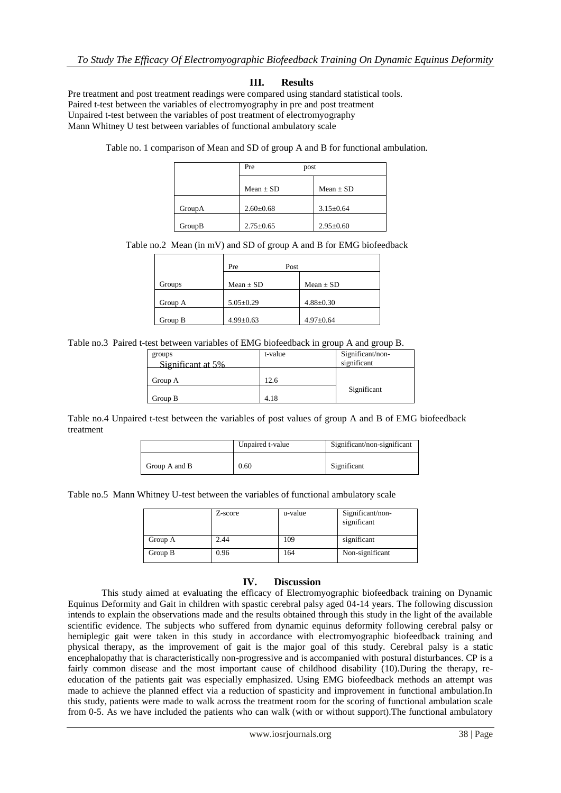# **III. Results**

Pre treatment and post treatment readings were compared using standard statistical tools. Paired t-test between the variables of electromyography in pre and post treatment Unpaired t-test between the variables of post treatment of electromyography Mann Whitney U test between variables of functional ambulatory scale

Table no. 1 comparison of Mean and SD of group A and B for functional ambulation.

|        | Pre<br>post     |                 |
|--------|-----------------|-----------------|
|        | $Mean + SD$     | $Mean + SD$     |
| GroupA | $2.60 \pm 0.68$ | $3.15 \pm 0.64$ |
| GroupB | $2.75 \pm 0.65$ | $2.95 \pm 0.60$ |

#### Table no.2 Mean (in mV) and SD of group A and B for EMG biofeedback

|         | Pre<br>Post     |                 |
|---------|-----------------|-----------------|
| Groups  | Mean $\pm$ SD   | $Mean \pm SD$   |
| Group A | $5.05 \pm 0.29$ | $4.88 \pm 0.30$ |
| Group B | $4.99 \pm 0.63$ | $4.97 \pm 0.64$ |

#### Table no.3 Paired t-test between variables of EMG biofeedback in group A and group B.

| groups<br>Significant at 5% | t-value | Significant/non-<br>significant |
|-----------------------------|---------|---------------------------------|
| Group A                     | 12.6    |                                 |
| Group B                     | 4.18    | Significant                     |

Table no.4 Unpaired t-test between the variables of post values of group A and B of EMG biofeedback treatment

|               | Unpaired t-value | Significant/non-significant |
|---------------|------------------|-----------------------------|
| Group A and B | 0.60             | Significant                 |

Table no.5 Mann Whitney U-test between the variables of functional ambulatory scale

|         | Z-score | u-value | Significant/non-<br>significant |
|---------|---------|---------|---------------------------------|
| Group A | 2.44    | 109     | significant                     |
| Group B | 0.96    | 164     | Non-significant                 |

# **IV. Discussion**

This study aimed at evaluating the efficacy of Electromyographic biofeedback training on Dynamic Equinus Deformity and Gait in children with spastic cerebral palsy aged 04-14 years. The following discussion intends to explain the observations made and the results obtained through this study in the light of the available scientific evidence. The subjects who suffered from dynamic equinus deformity following cerebral palsy or hemiplegic gait were taken in this study in accordance with electromyographic biofeedback training and physical therapy, as the improvement of gait is the major goal of this study. Cerebral palsy is a static encephalopathy that is characteristically non-progressive and is accompanied with postural disturbances. CP is a fairly common disease and the most important cause of childhood disability (10).During the therapy, reeducation of the patients gait was especially emphasized. Using EMG biofeedback methods an attempt was made to achieve the planned effect via a reduction of spasticity and improvement in functional ambulation.In this study, patients were made to walk across the treatment room for the scoring of functional ambulation scale from 0-5. As we have included the patients who can walk (with or without support).The functional ambulatory